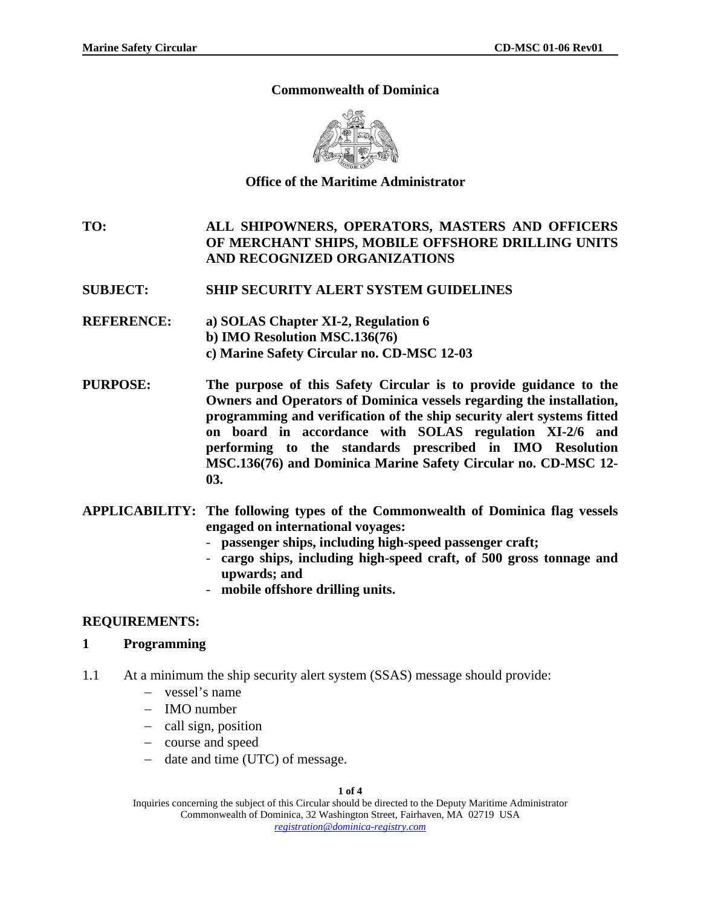### **Commonwealth of Dominica**



### **Office of the Maritime Administrator**

**TO: ALL SHIPOWNERS, OPERATORS, MASTERS AND OFFICERS OF MERCHANT SHIPS, MOBILE OFFSHORE DRILLING UNITS AND RECOGNIZED ORGANIZATIONS** 

### **SUBJECT: SHIP SECURITY ALERT SYSTEM GUIDELINES**

- **REFERENCE: a) SOLAS Chapter XI-2, Regulation 6 b) IMO Resolution MSC.136(76) c) Marine Safety Circular no. CD-MSC 12-03**
- **PURPOSE: The purpose of this Safety Circular is to provide guidance to the Owners and Operators of Dominica vessels regarding the installation, programming and verification of the ship security alert systems fitted on board in accordance with SOLAS regulation XI-2/6 and performing to the standards prescribed in IMO Resolution MSC.136(76) and Dominica Marine Safety Circular no. CD-MSC 12- 03.**
- **APPLICABILITY: The following types of the Commonwealth of Dominica flag vessels engaged on international voyages:** 
	- **passenger ships, including high-speed passenger craft;**
	- **cargo ships, including high-speed craft, of 500 gross tonnage and upwards; and**
	- **mobile offshore drilling units.**

#### **REQUIREMENTS:**

#### **1 Programming**

- 1.1 At a minimum the ship security alert system (SSAS) message should provide:
	- − vessel's name
	- − IMO number
	- − call sign, position
	- − course and speed
	- − date and time (UTC) of message.

**1 of 4** 

Inquiries concerning the subject of this Circular should be directed to the Deputy Maritime Administrator Commonwealth of Dominica, 32 Washington Street, Fairhaven, MA 02719 USA *registration@dominica-registry.com*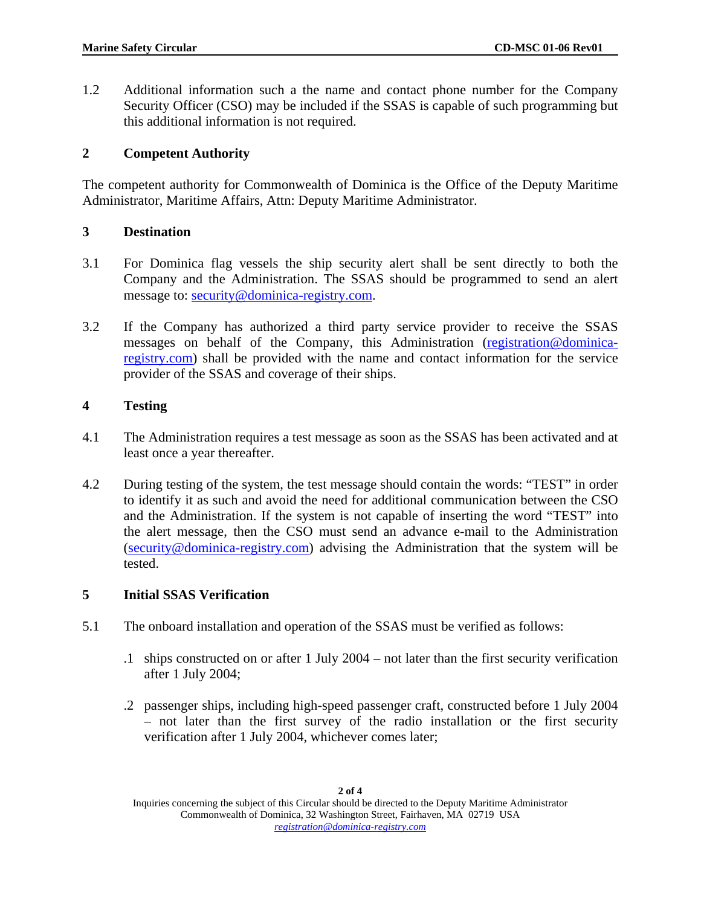1.2 Additional information such a the name and contact phone number for the Company Security Officer (CSO) may be included if the SSAS is capable of such programming but this additional information is not required.

## **2 Competent Authority**

The competent authority for Commonwealth of Dominica is the Office of the Deputy Maritime Administrator, Maritime Affairs, Attn: Deputy Maritime Administrator.

## **3 Destination**

- 3.1 For Dominica flag vessels the ship security alert shall be sent directly to both the Company and the Administration. The SSAS should be programmed to send an alert message to: [security@dominica-registry.com](mailto:security@dominica-registry.com).
- 3.2 If the Company has authorized a third party service provider to receive the SSAS messages on behalf of the Company, this Administration ([registration@dominica](mailto:registration@dominica-registry.com)[registry.com](mailto:registration@dominica-registry.com)) shall be provided with the name and contact information for the service provider of the SSAS and coverage of their ships.

# **4 Testing**

- 4.1 The Administration requires a test message as soon as the SSAS has been activated and at least once a year thereafter.
- 4.2 During testing of the system, the test message should contain the words: "TEST" in order to identify it as such and avoid the need for additional communication between the CSO and the Administration. If the system is not capable of inserting the word "TEST" into the alert message, then the CSO must send an advance e-mail to the Administration ([security@dominica-registry.com](mailto:security@dominica-registry.com)) advising the Administration that the system will be tested.

# **5 Initial SSAS Verification**

- 5.1 The onboard installation and operation of the SSAS must be verified as follows:
	- .1 ships constructed on or after 1 July 2004 not later than the first security verification after 1 July 2004;
	- .2 passenger ships, including high-speed passenger craft, constructed before 1 July 2004 – not later than the first survey of the radio installation or the first security verification after 1 July 2004, whichever comes later;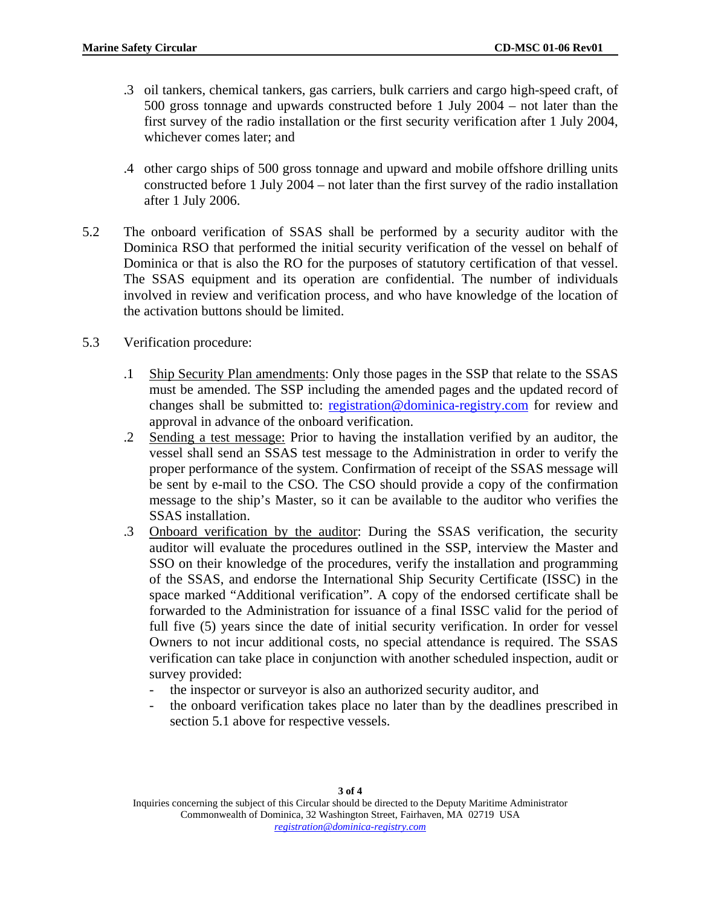- .3 oil tankers, chemical tankers, gas carriers, bulk carriers and cargo high-speed craft, of 500 gross tonnage and upwards constructed before 1 July 2004 – not later than the first survey of the radio installation or the first security verification after 1 July 2004, whichever comes later; and
- .4 other cargo ships of 500 gross tonnage and upward and mobile offshore drilling units constructed before 1 July 2004 – not later than the first survey of the radio installation after 1 July 2006.
- 5.2 The onboard verification of SSAS shall be performed by a security auditor with the Dominica RSO that performed the initial security verification of the vessel on behalf of Dominica or that is also the RO for the purposes of statutory certification of that vessel. The SSAS equipment and its operation are confidential. The number of individuals involved in review and verification process, and who have knowledge of the location of the activation buttons should be limited.
- 5.3 Verification procedure:
	- .1 Ship Security Plan amendments: Only those pages in the SSP that relate to the SSAS must be amended. The SSP including the amended pages and the updated record of changes shall be submitted to: [registration@dominica-registry.com](mailto:registration@dominica-registry.com) for review and approval in advance of the onboard verification.
	- .2 Sending a test message: Prior to having the installation verified by an auditor, the vessel shall send an SSAS test message to the Administration in order to verify the proper performance of the system. Confirmation of receipt of the SSAS message will be sent by e-mail to the CSO. The CSO should provide a copy of the confirmation message to the ship's Master, so it can be available to the auditor who verifies the SSAS installation.
	- .3 Onboard verification by the auditor: During the SSAS verification, the security auditor will evaluate the procedures outlined in the SSP, interview the Master and SSO on their knowledge of the procedures, verify the installation and programming of the SSAS, and endorse the International Ship Security Certificate (ISSC) in the space marked "Additional verification". A copy of the endorsed certificate shall be forwarded to the Administration for issuance of a final ISSC valid for the period of full five  $(5)$  years since the date of initial security verification. In order for vessel Owners to not incur additional costs, no special attendance is required. The SSAS verification can take place in conjunction with another scheduled inspection, audit or survey provided:
		- the inspector or surveyor is also an authorized security auditor, and
		- the onboard verification takes place no later than by the deadlines prescribed in section 5.1 above for respective vessels.